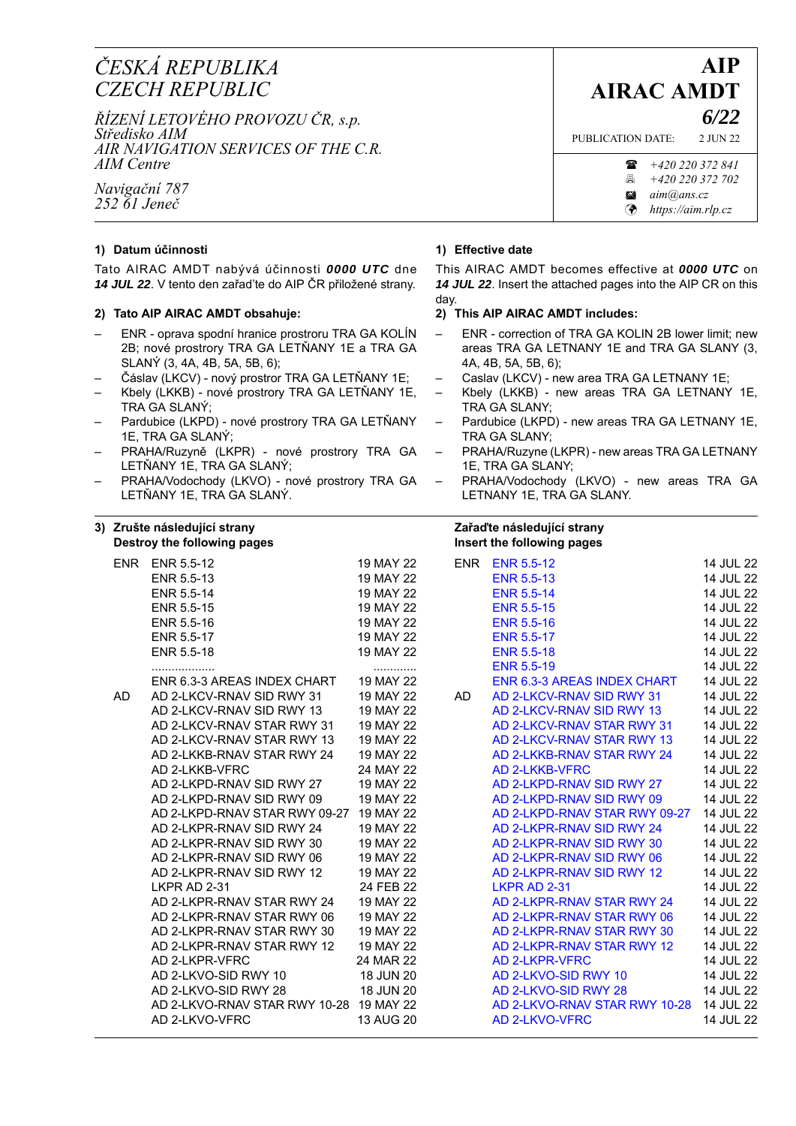# *ČESKÁ REPUBLIKA CZECH REPUBLIC*

*ŘÍZENÍ LETOVÉHO PROVOZU ČR, s.p. Středisko AIM AIR NAVIGATION SERVICES OF THE C.R. AIM Centre*

*Navigační 787 252 61 Jeneč*

## **1) Datum účinnosti**

Tato AIRAC AMDT nabývá účinnosti *0000 UTC* dne *14 JUL 22*. V tento den zařad'te do AIP ČR přiložené strany.

## **2) Tato AIP AIRAC AMDT obsahuje:**

- ENR oprava spodní hranice prostroru TRA GA KOLÍN 2B; nové prostrory TRA GA LETŇANY 1E a TRA GA SLANÝ (3, 4A, 4B, 5A, 5B, 6);
- Čáslav (LKCV) nový prostror TRA GA LETŇANY 1E;
- Kbely (LKKB) nové prostrory TRA GA LETŇANY 1E, TRA GA SLANÝ;
- Pardubice (LKPD) nové prostrory TRA GA LETŇANY 1E, TRA GA SLANÝ;
- PRAHA/Ruzyně (LKPR) nové prostrory TRA GA LETŇANY 1E, TRA GA SLANÝ;
- PRAHA/Vodochody (LKVO) nové prostrory TRA GA LETŇANY 1E, TRA GA SLANÝ.

#### **3) Zrušte následující strany Destroy the following pages**

### **1) Effective date**

This AIRAC AMDT becomes effective at *0000 UTC* on *14 JUL 22*. Insert the attached pages into the AIP CR on this day.

## **2) This AIP AIRAC AMDT includes:**

- ENR correction of TRA GA KOLIN 2B lower limit; new areas TRA GA LETNANY 1E and TRA GA SLANY (3, 4A, 4B, 5A, 5B, 6);
- Caslav (LKCV) new area TRA GA LETNANY 1E;
- Kbely (LKKB) new areas TRA GA LETNANY 1E, TRA GA SLANY;
- Pardubice (LKPD) new areas TRA GA LETNANY 1E, TRA GA SLANY;
- PRAHA/Ruzyne (LKPR) new areas TRA GA LETNANY 1E, TRA GA SLANY;
- PRAHA/Vodochody (LKVO) new areas TRA GA LETNANY 1E, TRA GA SLANY.

#### **Zařaďte následující strany Insert the following pages**

|    |                                         |           |     | 1.1001111101101111191001900        |           |
|----|-----------------------------------------|-----------|-----|------------------------------------|-----------|
|    | <b>ENR ENR 5.5-12</b>                   | 19 MAY 22 |     | <b>ENR ENR 5.5-12</b>              | 14 JUL 22 |
|    | ENR 5.5-13                              | 19 MAY 22 |     | <b>ENR 5.5-13</b>                  | 14 JUL 22 |
|    | ENR 5.5-14                              | 19 MAY 22 |     | <b>ENR 5.5-14</b>                  | 14 JUL 22 |
|    | ENR 5.5-15                              | 19 MAY 22 |     | <b>ENR 5.5-15</b>                  | 14 JUL 22 |
|    | ENR 5.5-16                              | 19 MAY 22 |     | <b>ENR 5.5-16</b>                  | 14 JUL 22 |
|    | ENR 5.5-17                              | 19 MAY 22 |     | <b>ENR 5.5-17</b>                  | 14 JUL 22 |
|    | ENR 5.5-18                              | 19 MAY 22 |     | <b>ENR 5.5-18</b>                  | 14 JUL 22 |
|    |                                         | .         |     | <b>ENR 5.5-19</b>                  | 14 JUL 22 |
|    | ENR 6.3-3 AREAS INDEX CHART             | 19 MAY 22 |     | <b>ENR 6.3-3 AREAS INDEX CHART</b> | 14 JUL 22 |
| AD | AD 2-LKCV-RNAV SID RWY 31               | 19 MAY 22 | AD. | AD 2-LKCV-RNAV SID RWY 31          | 14 JUL 22 |
|    | AD 2-LKCV-RNAV SID RWY 13               | 19 MAY 22 |     | AD 2-LKCV-RNAV SID RWY 13          | 14 JUL 22 |
|    | AD 2-LKCV-RNAV STAR RWY 31              | 19 MAY 22 |     | AD 2-LKCV-RNAV STAR RWY 31         | 14 JUL 22 |
|    | AD 2-LKCV-RNAV STAR RWY 13              | 19 MAY 22 |     | AD 2-LKCV-RNAV STAR RWY 13         | 14 JUL 22 |
|    | AD 2-LKKB-RNAV STAR RWY 24              | 19 MAY 22 |     | AD 2-LKKB-RNAV STAR RWY 24         | 14 JUL 22 |
|    | AD 2-LKKB-VFRC                          | 24 MAY 22 |     | <b>AD 2-LKKB-VFRC</b>              | 14 JUL 22 |
|    | AD 2-LKPD-RNAV SID RWY 27               | 19 MAY 22 |     | AD 2-LKPD-RNAV SID RWY 27          | 14 JUL 22 |
|    | AD 2-LKPD-RNAV SID RWY 09               | 19 MAY 22 |     | AD 2-LKPD-RNAV SID RWY 09          | 14 JUL 22 |
|    | AD 2-LKPD-RNAV STAR RWY 09-27 19 MAY 22 |           |     | AD 2-LKPD-RNAV STAR RWY 09-27      | 14 JUL 22 |
|    | AD 2-LKPR-RNAV SID RWY 24               | 19 MAY 22 |     | AD 2-LKPR-RNAV SID RWY 24          | 14 JUL 22 |
|    | AD 2-LKPR-RNAV SID RWY 30               | 19 MAY 22 |     | AD 2-LKPR-RNAV SID RWY 30          | 14 JUL 22 |
|    | AD 2-LKPR-RNAV SID RWY 06               | 19 MAY 22 |     | AD 2-LKPR-RNAV SID RWY 06          | 14 JUL 22 |
|    | AD 2-LKPR-RNAV SID RWY 12               | 19 MAY 22 |     | AD 2-LKPR-RNAV SID RWY 12          | 14 JUL 22 |
|    | LKPR AD 2-31                            | 24 FEB 22 |     | <b>LKPR AD 2-31</b>                | 14 JUL 22 |
|    | AD 2-LKPR-RNAV STAR RWY 24              | 19 MAY 22 |     | AD 2-LKPR-RNAV STAR RWY 24         | 14 JUL 22 |
|    | AD 2-LKPR-RNAV STAR RWY 06              | 19 MAY 22 |     | AD 2-LKPR-RNAV STAR RWY 06         | 14 JUL 22 |
|    | AD 2-LKPR-RNAV STAR RWY 30              | 19 MAY 22 |     | AD 2-LKPR-RNAV STAR RWY 30         | 14 JUL 22 |
|    | AD 2-LKPR-RNAV STAR RWY 12              | 19 MAY 22 |     | AD 2-LKPR-RNAV STAR RWY 12         | 14 JUL 22 |
|    | AD 2-LKPR-VFRC                          | 24 MAR 22 |     | AD 2-LKPR-VFRC                     | 14 JUL 22 |
|    | AD 2-LKVO-SID RWY 10                    | 18 JUN 20 |     | AD 2-LKVO-SID RWY 10               | 14 JUL 22 |
|    | AD 2-LKVO-SID RWY 28                    | 18 JUN 20 |     | AD 2-LKVO-SID RWY 28               | 14 JUL 22 |
|    | AD 2-LKVO-RNAV STAR RWY 10-28 19 MAY 22 |           |     | AD 2-LKVO-RNAV STAR RWY 10-28      | 14 JUL 22 |
|    | AD 2-LKVO-VFRC                          | 13 AUG 20 |     | AD 2-LKVO-VFRC                     | 14 JUL 22 |

 **AIP AIRAC AMDT**

*6/22*

PUBLICATION DATE: 2 JUN 22

 *+420 220 372 841 +420 220 372 702 aim@ans.cz [https://aim.rlp.cz](http://lis.rlp.cz)*